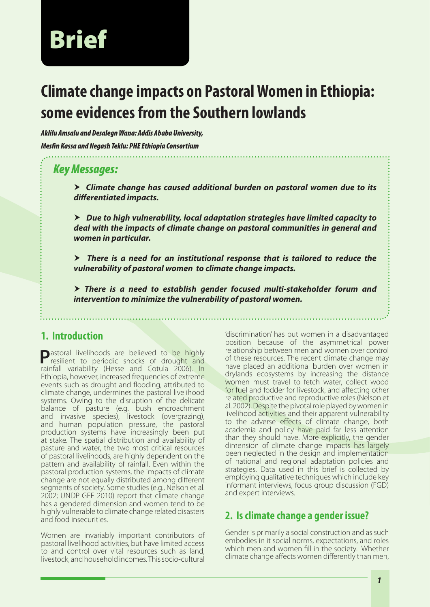# **Climate change impacts on Pastoral Women in Ethiopia: some evidences from the Southern lowlands**

*Aklilu Amsalu and Desalegn Wana: Addis Ababa University, Mesfin Kassa and Negash Teklu: PHE Ethiopia Consortium*

## *Key Messages:*

 *Climate change has caused additional burden on pastoral women due to its differentiated impacts.* 

 *Due to high vulnerability, local adaptation strategies have limited capacity to deal with the impacts of climate change on pastoral communities in general and women in particular.* 

 *There is a need for an institutional response that is tailored to reduce the vulnerability of pastoral women to climate change impacts.*

 *There is a need to establish gender focused multi-stakeholder forum and intervention to minimize the vulnerability of pastoral women.*

## **1. Introduction**

**P**astoral livelihoods are believed to be highly resilient to periodic shocks of drought and rainfall variability (Hesse and Cotula 2006). In Ethiopia, however, increased frequencies of extreme events such as drought and flooding, attributed to climate change, undermines the pastoral livelihood systems. Owing to the disruption of the delicate balance of pasture (e.g. bush encroachment and invasive species), livestock (overgrazing), and human population pressure, the pastoral production systems have increasingly been put at stake. The spatial distribution and availability of pasture and water, the two most critical resources of pastoral livelihoods, are highly dependent on the pattern and availability of rainfall. Even within the pastoral production systems, the impacts of climate change are not equally distributed among different segments of society. Some studies (e.g., Nelson et al. 2002; UNDP-GEF 2010) report that climate change has a gendered dimension and women tend to be highly vulnerable to climate change related disasters and food insecurities.

Women are invariably important contributors of pastoral livelihood activities, but have limited access to and control over vital resources such as land, livestock, and household incomes. This socio-cultural

'discrimination' has put women in a disadvantaged position because of the asymmetrical power relationship between men and women over control of these resources. The recent climate change may have placed an additional burden over women in drylands ecosystems by increasing the distance women must travel to fetch water, collect wood for fuel and fodder for livestock, and affecting other related productive and reproductive roles (Nelson et al. 2002). Despite the pivotal role played by women in livelihood activities and their apparent vulnerability to the adverse effects of climate change, both academia and policy have paid far less attention than they should have. More explicitly, the gender dimension of climate change impacts has largely been neglected in the design and implementation of national and regional adaptation policies and strategies. Data used in this brief is collected by employing qualitative techniques which include key informant interviews, focus group discussion (FGD) and expert interviews.

## **2. Is climate change a gender issue?**

Gender is primarily a social construction and as such embodies in it social norms, expectations, and roles which men and women fill in the society. Whether climate change affects women differently than men,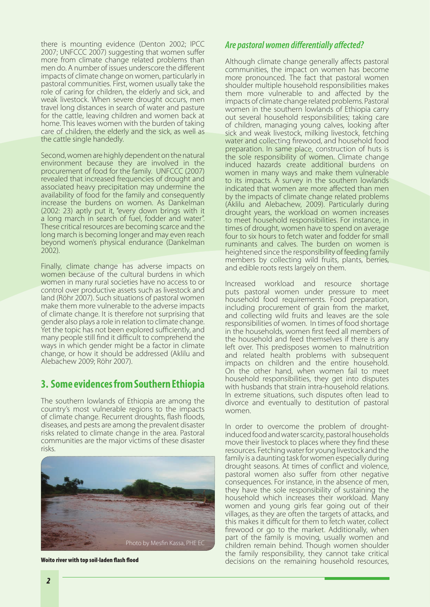there is mounting evidence (Denton 2002; IPCC 2007; UNFCCC 2007) suggesting that women suffer more from climate change related problems than men do. A number of issues underscore the different impacts of climate change on women, particularly in pastoral communities. First, women usually take the role of caring for children, the elderly and sick, and weak livestock. When severe drought occurs, men travel long distances in search of water and pasture for the cattle, leaving children and women back at home. This leaves women with the burden of taking care of children, the elderly and the sick, as well as the cattle single handedly.

Second, women are highly dependent on the natural environment because they are involved in the procurement of food for the family. UNFCCC (2007) revealed that increased frequencies of drought and associated heavy precipitation may undermine the availability of food for the family and consequently increase the burdens on women. As Dankelman (2002: 23) aptly put it, "every down brings with it a long march in search of fuel, fodder and water". These critical resources are becoming scarce and the long march is becoming longer and may even reach beyond women's physical endurance (Dankelman 2002).

Finally, climate change has adverse impacts on women because of the cultural burdens in which women in many rural societies have no access to or control over productive assets such as livestock and land (Röhr 2007). Such situations of pastoral women make them more vulnerable to the adverse impacts of climate change. It is therefore not surprising that gender also plays a role in relation to climate change. Yet the topic has not been explored sufficiently, and many people still find it difficult to comprehend the ways in which gender might be a factor in climate change, or how it should be addressed (Aklilu and Alebachew 2009; Röhr 2007).

## **3. Some evidences from Southern Ethiopia**

The southern lowlands of Ethiopia are among the country's most vulnerable regions to the impacts of climate change. Recurrent droughts, flash floods, diseases, and pests are among the prevalent disaster risks related to climate change in the area. Pastoral communities are the major victims of these disaster risks.



Woito river with top soil-laden flash flood

#### *Are pastoral women differentially affected?*

Although climate change generally affects pastoral communities, the impact on women has become more pronounced. The fact that pastoral women shoulder multiple household responsibilities makes them more vulnerable to and affected by the impacts of climate change related problems. Pastoral women in the southern lowlands of Ethiopia carry out several household responsibilities; taking care of children, managing young calves, looking after sick and weak livestock, milking livestock, fetching water and collecting firewood, and household food preparation. In same place, construction of huts is the sole responsibility of women. Climate change induced hazards create additional burdens on women in many ways and make them vulnerable to its impacts. A survey in the southern lowlands indicated that women are more affected than men by the impacts of climate change related problems (Aklilu and Alebachew, 2009). Particularly during drought years, the workload on women increases to meet household responsibilities. For instance, in times of drought, women have to spend on average four to six hours to fetch water and fodder for small ruminants and calves. The burden on women is heightened since the responsibility of feeding family members by collecting wild fruits, plants, berries, and edible roots rests largely on them.

Increased workload and resource shortage puts pastoral women under pressure to meet household food requirements. Food preparation, including procurement of grain from the market, and collecting wild fruits and leaves are the sole responsibilities of women. In times of food shortage in the households, women first feed all members of the household and feed themselves if there is any left over. This predisposes women to malnutrition and related health problems with subsequent impacts on children and the entire household. On the other hand, when women fail to meet household responsibilities, they get into disputes with husbands that strain intra-household relations. In extreme situations, such disputes often lead to divorce and eventually to destitution of pastoral women.

In order to overcome the problem of droughtinduced food and water scarcity, pastoral households move their livestock to places where they find these resources. Fetching water for young livestock and the family is a daunting task for women especially during drought seasons. At times of conflict and violence, pastoral women also suffer from other negative consequences. For instance, in the absence of men, they have the sole responsibility of sustaining the household which increases their workload. Many women and young girls fear going out of their villages, as they are often the targets of attacks, and this makes it difficult for them to fetch water, collect firewood or go to the market. Additionally, when part of the family is moving, usually women and children remain behind. Though women shoulder the family responsibility, they cannot take critical decisions on the remaining household resources,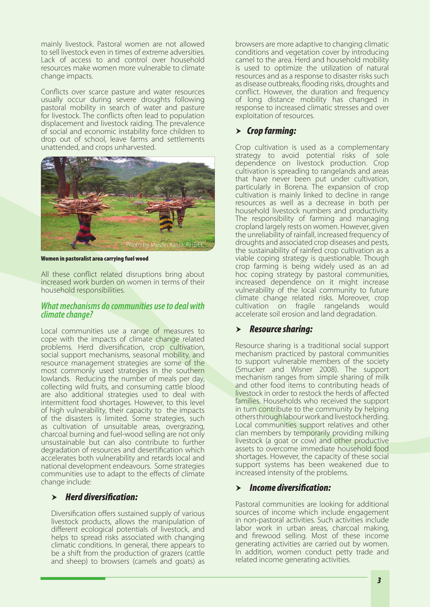mainly livestock. Pastoral women are not allowed to sell livestock even in times of extreme adversities. Lack of access to and control over household resources make women more vulnerable to climate change impacts.

Conflicts over scarce pasture and water resources usually occur during severe droughts following pastoral mobility in search of water and pasture for livestock. The conflicts often lead to population displacement and livestock raiding. The prevalence of social and economic instability force children to drop out of school, leave farms and settlements unattended, and crops unharvested.



Women in pastoralist area carrying fuel wood

All these conflict related disruptions bring about increased work burden on women in terms of their household responsibilities.

#### *What mechanisms do communities use to deal with climate change?*

Local communities use a range of measures to cope with the impacts of climate change related problems. Herd diversification, crop cultivation, social support mechanisms, seasonal mobility, and resource management strategies are some of the most commonly used strategies in the southern lowlands. Reducing the number of meals per day, collecting wild fruits, and consuming cattle blood are also additional strategies used to deal with intermittent food shortages. However, to this level of high vulnerability, their capacity to the impacts of the disasters is limited. Some strategies, such as cultivation of unsuitable areas, overgrazing, charcoal burning and fuel-wood selling are not only unsustainable but can also contribute to further degradation of resources and desertification which accelerates both vulnerability and retards local and national development endeavours. Some strategies communities use to adapt to the effects of climate change include:

#### *Herd diversification:*

Diversification offers sustained supply of various livestock products, allows the manipulation of different ecological potentials of livestock, and helps to spread risks associated with changing climatic conditions. In general, there appears to be a shift from the production of grazers (cattle and sheep) to browsers (camels and goats) as browsers are more adaptive to changing climatic conditions and vegetation cover by introducing camel to the area. Herd and household mobility is used to optimize the utilization of natural resources and as a response to disaster risks such as disease outbreaks, flooding risks, droughts and conflict. However, the duration and frequency of long distance mobility has changed in response to increased climatic stresses and over exploitation of resources.

### *Crop farming:*

Crop cultivation is used as a complementary strategy to avoid potential risks of sole dependence on livestock production. Crop cultivation is spreading to rangelands and areas that have never been put under cultivation, particularly in Borena. The expansion of crop cultivation is mainly linked to decline in range resources as well as a decrease in both per household livestock numbers and productivity. The responsibility of farming and managing cropland largely rests on women. However, given the unreliability of rainfall, increased frequency of droughts and associated crop diseases and pests, the sustainability of rainfed crop cultivation as a viable coping strategy is questionable. Though crop farming is being widely used as an ad hoc coping strategy by pastoral communities, increased dependence on it might increase vulnerability of the local community to future climate change related risks. Moreover, crop cultivation on fragile rangelands would accelerate soil erosion and land degradation.

#### *Resource sharing:*

Resource sharing is a traditional social support mechanism practiced by pastoral communities to support vulnerable members of the society (Smucker and Wisner 2008). The support mechanism ranges from simple sharing of milk and other food items to contributing heads of livestock in order to restock the herds of affected families. Households who received the support in turn contribute to the community by helping others through labour work and livestock herding. Local communities support relatives and other clan members by temporarily providing milking livestock (a goat or cow) and other productive assets to overcome immediate household food shortages. However, the capacity of these social support systems has been weakened due to increased intensity of the problems.

#### *Income diversification:*

Pastoral communities are looking for additional sources of income which include engagement in non-pastoral activities. Such activities include labor work in urban areas, charcoal making, and firewood selling. Most of these income generating activities are carried out by women. In addition, women conduct petty trade and related income generating activities.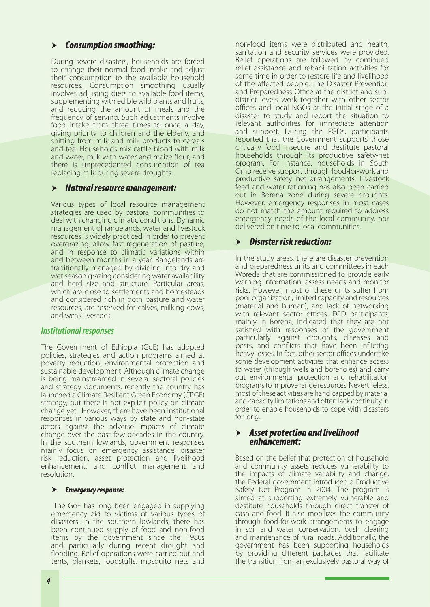#### *Consumption smoothing:*

During severe disasters, households are forced to change their normal food intake and adjust their consumption to the available household resources. Consumption smoothing usually involves adjusting diets to available food items, supplementing with edible wild plants and fruits, and reducing the amount of meals and the frequency of serving. Such adjustments involve food intake from three times to once a day, giving priority to children and the elderly, and shifting from milk and milk products to cereals and tea. Households mix cattle blood with milk and water, milk with water and maize flour, and there is unprecedented consumption of tea replacing milk during severe droughts.

#### *Natural resource management:*

Various types of local resource management strategies are used by pastoral communities to deal with changing climatic conditions. Dynamic management of rangelands, water and livestock resources is widely practiced in order to prevent overgrazing, allow fast regeneration of pasture, and in response to climatic variations within and between months in a year. Rangelands are traditionally managed by dividing into dry and wet season grazing considering water availability and herd size and structure. Particular areas, which are close to settlements and homesteads and considered rich in both pasture and water resources, are reserved for calves, milking cows, and weak livestock.

#### *Institutional responses*

The Government of Ethiopia (GoE) has adopted policies, strategies and action programs aimed at poverty reduction, environmental protection and sustainable development. Although climate change is being mainstreamed in several sectoral policies and strategy documents, recently the country has launched a Climate Resilient Green Economy (CRGE) strategy, but there is not explicit policy on climate change yet. However, there have been institutional responses in various ways by state and non-state actors against the adverse impacts of climate change over the past few decades in the country. In the southern lowlands, government responses mainly focus on emergency assistance, disaster risk reduction, asset protection and livelihood enhancement, and conflict management and resolution.

#### *Emergency response:*

 The GoE has long been engaged in supplying emergency aid to victims of various types of disasters. In the southern lowlands, there has been continued supply of food and non-food items by the government since the 1980s and particularly during recent drought and flooding. Relief operations were carried out and tents, blankets, foodstuffs, mosquito nets and

non-food items were distributed and health, sanitation and security services were provided. Relief operations are followed by continued relief assistance and rehabilitation activities for some time in order to restore life and livelihood of the affected people. The Disaster Prevention and Preparedness Office at the district and subdistrict levels work together with other sector offices and local NGOs at the initial stage of a disaster to study and report the situation to relevant authorities for immediate attention and support. During the FGDs, participants reported that the government supports those critically food insecure and destitute pastoral households through its productive safety-net program. For instance, households in South Omo receive support through food-for-work and productive safety net arrangements. Livestock feed and water rationing has also been carried out in Borena zone during severe droughts. However, emergency responses in most cases do not match the amount required to address emergency needs of the local community, nor delivered on time to local communities.

### *Disaster risk reduction:*

In the study areas, there are disaster prevention and preparedness units and committees in each Woreda that are commissioned to provide early warning information, assess needs and monitor risks. However, most of these units suffer from poor organization, limited capacity and resources (material and human), and lack of networking with relevant sector offices. FGD participants, mainly in Borena, indicated that they are not satisfied with responses of the government particularly against droughts, diseases and pests, and conflicts that have been inflicting heavy losses. In fact, other sector offices undertake some development activities that enhance access to water (through wells and boreholes) and carry out environmental protection and rehabilitation programs to improve range resources. Nevertheless, most of these activities are handicapped by material and capacity limitations and often lack continuity in order to enable households to cope with disasters for long.

# *Asset protection and livelihood enhancement:*

Based on the belief that protection of household and community assets reduces vulnerability to the impacts of climate variability and change, the Federal government introduced a Productive Safety Net Program in 2004. The program is aimed at supporting extremely vulnerable and destitute households through direct transfer of cash and food. It also mobilizes the community through food-for-work arrangements to engage in soil and water conservation, bush clearing and maintenance of rural roads. Additionally, the government has been supporting households by providing different packages that facilitate the transition from an exclusively pastoral way of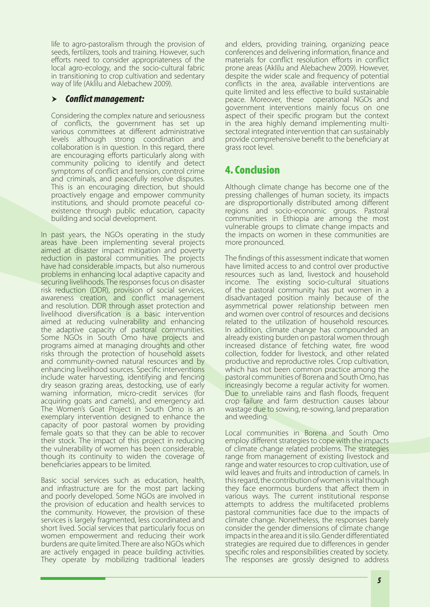life to agro-pastoralism through the provision of seeds, fertilizers, tools and training. However, such efforts need to consider appropriateness of the local agro-ecology, and the socio-cultural fabric in transitioning to crop cultivation and sedentary way of life (Aklilu and Alebachew 2009).

#### *Conflict management:*

Considering the complex nature and seriousness of conflicts, the government has set up various committees at different administrative levels although strong coordination and collaboration is in question. In this regard, there are encouraging efforts particularly along with community policing to identify and detect symptoms of conflict and tension, control crime and criminals, and peacefully resolve disputes. This is an encouraging direction, but should proactively engage and empower community institutions, and should promote peaceful coexistence through public education, capacity building and social development.

In past years, the NGOs operating in the study areas have been implementing several projects aimed at disaster impact mitigation and poverty reduction in pastoral communities. The projects have had considerable impacts, but also numerous problems in enhancing local adaptive capacity and securing livelihoods. The responses focus on disaster risk reduction (DDR), provision of social services, awareness creation, and conflict management and resolution. DDR through asset protection and livelihood diversification is a basic intervention aimed at reducing vulnerability and enhancing the adaptive capacity of pastoral communities. Some NGOs in South Omo have projects and programs aimed at managing droughts and other risks through the protection of household assets and community-owned natural resources and by enhancing livelihood sources. Specific interventions include water harvesting, identifying and fencing dry season grazing areas, destocking, use of early warning information, micro-credit services (for acquiring goats and camels), and emergency aid. The Women's Goat Project in South Omo is an exemplary intervention designed to enhance the capacity of poor pastoral women by providing female goats so that they can be able to recover their stock. The impact of this project in reducing the vulnerability of women has been considerable, though its continuity to widen the coverage of beneficiaries appears to be limited.

Basic social services such as education, health, and infrastructure are for the most part lacking and poorly developed. Some NGOs are involved in the provision of education and health services to the community. However, the provision of these services is largely fragmented, less coordinated and short lived. Social services that particularly focus on women empowerment and reducing their work burdens are quite limited. There are also NGOs which are actively engaged in peace building activities. They operate by mobilizing traditional leaders and elders, providing training, organizing peace conferences and delivering information, finance and materials for conflict resolution efforts in conflict prone areas (Aklilu and Alebachew 2009). However, despite the wider scale and frequency of potential conflicts in the area, available interventions are quite limited and less effective to build sustainable peace. Moreover, these operational NGOs and government interventions mainly focus on one aspect of their specific program but the context in the area highly demand implementing multisectoral integrated intervention that can sustainably provide comprehensive benefit to the beneficiary at grass root level.

## 4. Conclusion

Although climate change has become one of the pressing challenges of human society, its impacts are disproportionally distributed among different regions and socio-economic groups. Pastoral communities in Ethiopia are among the most vulnerable groups to climate change impacts and the impacts on women in these communities are more pronounced.

The findings of this assessment indicate that women have limited access to and control over productive resources such as land, livestock and household income. The existing socio-cultural situations of the pastoral community has put women in a disadvantaged position mainly because of the asymmetrical power relationship between men and women over control of resources and decisions related to the utilization of household resources. In addition, climate change has compounded an already existing burden on pastoral women through increased distance of fetching water, fire wood collection, fodder for livestock, and other related productive and reproductive roles. Crop cultivation, which has not been common practice among the pastoral communities of Borena and South Omo, has increasingly become a regular activity for women. Due to unreliable rains and flash floods, frequent crop failure and farm destruction causes labour wastage due to sowing, re-sowing, land preparation and weeding.

Local communities in Borena and South Omo employ different strategies to cope with the impacts of climate change related problems. The strategies range from management of existing livestock and range and water resources to crop cultivation, use of wild leaves and fruits and introduction of camels. In this regard, the contribution of women is vital though they face enormous burdens that affect them in various ways. The current institutional response attempts to address the multifaceted problems pastoral communities face due to the impacts of climate change. Nonetheless, the responses barely consider the gender dimensions of climate change impacts in the area and it is silo. Gender differentiated strategies are required due to differences in gender specific roles and responsibilities created by society. The responses are grossly designed to address